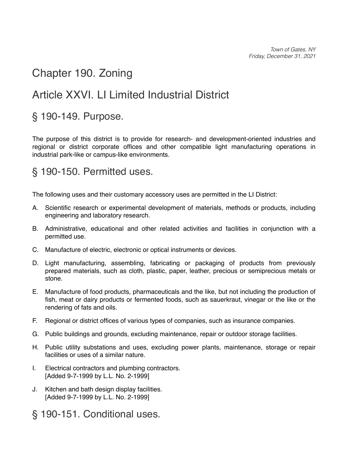*Town of Gates, NY Friday, December 31, 2021*

# <span id="page-0-0"></span>[Chapter 190. Zoning](#page-0-0)

# <span id="page-0-1"></span>[Article XXVI. LI Limited Industrial District](#page-0-1)

### <span id="page-0-2"></span>[§ 190-149. Purpose.](#page-0-2)

The purpose of this district is to provide for research- and development-oriented industries and regional or district corporate offices and other compatible light manufacturing operations in industrial park-like or campus-like environments.

#### <span id="page-0-3"></span>[§ 190-150. Permitted uses.](#page-0-3)

The following uses and their customary accessory uses are permitted in the LI District:

- [A.](https://ecode360.com/print/12243896#12243896)  Scientific research or experimental development of materials, methods or products, including engineering and laboratory research.
- [B.](https://ecode360.com/print/12243897#12243897)  Administrative, educational and other related activities and facilities in conjunction with a permitted use.
- [C.](https://ecode360.com/print/12243898#12243898)  Manufacture of electric, electronic or optical instruments or devices.
- [D.](https://ecode360.com/print/12243899#12243899)  Light manufacturing, assembling, fabricating or packaging of products from previously prepared materials, such as cloth, plastic, paper, leather, precious or semiprecious metals or stone.
- [E.](https://ecode360.com/print/12243900#12243900)  Manufacture of food products, pharmaceuticals and the like, but not including the production of fish, meat or dairy products or fermented foods, such as sauerkraut, vinegar or the like or the rendering of fats and oils.
- [F.](https://ecode360.com/print/12243901#12243901)  Regional or district offices of various types of companies, such as insurance companies.
- [G.](https://ecode360.com/print/12243902#12243902)  Public buildings and grounds, excluding maintenance, repair or outdoor storage facilities.
- [H.](https://ecode360.com/print/12243903#12243903)  Public utility substations and uses, excluding power plants, maintenance, storage or repair facilities or uses of a similar nature.
- [I.](https://ecode360.com/print/12243904#12243904)  Electrical contractors and plumbing contractors. [Added 9-7-1999 by L.L. No. 2-1999]
- [J.](https://ecode360.com/print/12243905#12243905)  Kitchen and bath design display facilities. [Added 9-7-1999 by L.L. No. 2-1999]
- <span id="page-0-4"></span>[§ 190-151. Conditional uses.](#page-0-4)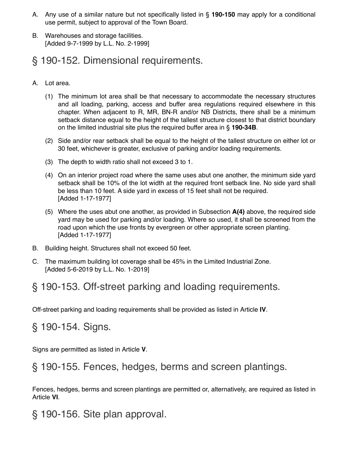- [A.](https://ecode360.com/print/12243907#12243907)  Any use of a similar nature but not specifically listed in § **[190-150](https://ecode360.com/print/12243895#12243895)** may apply for a conditional use permit, subject to approval of the Town Board.
- [B.](https://ecode360.com/print/12243908#12243908)  Warehouses and storage facilities. [Added 9-7-1999 by L.L. No. 2-1999]

## <span id="page-1-0"></span>[§ 190-152. Dimensional requirements.](#page-1-0)

- [A.](https://ecode360.com/print/12243910#12243910)  Lot area.
	- [\(1\)](https://ecode360.com/print/12243911#12243911)  The minimum lot area shall be that necessary to accommodate the necessary structures and all loading, parking, access and buffer area regulations required elsewhere in this chapter. When adjacent to R, MR, BN-R and/or NB Districts, there shall be a minimum setback distance equal to the height of the tallest structure closest to that district boundary on the limited industrial site plus the required buffer area in § **[190-34B](https://ecode360.com/print/12243268#12243268)**.
	- [\(2\)](https://ecode360.com/print/12243912#12243912)  Side and/or rear setback shall be equal to the height of the tallest structure on either lot or 30 feet, whichever is greater, exclusive of parking and/or loading requirements.
	- [\(3\)](https://ecode360.com/print/12243913#12243913)  The depth to width ratio shall not exceed 3 to 1.
	- [\(4\)](https://ecode360.com/print/12243914#12243914)  On an interior project road where the same uses abut one another, the minimum side yard setback shall be 10% of the lot width at the required front setback line. No side yard shall be less than 10 feet. A side yard in excess of 15 feet shall not be required. [Added 1-17-1977]
	- [\(5\)](https://ecode360.com/print/12243915#12243915)  Where the uses abut one another, as provided in Subsection **[A\(4\)](https://ecode360.com/print/12243914#12243914)** above, the required side yard may be used for parking and/or loading. Where so used, it shall be screened from the road upon which the use fronts by evergreen or other appropriate screen planting. [Added 1-17-1977]
- [B.](https://ecode360.com/print/12243916#12243916)  Building height. Structures shall not exceed 50 feet.
- [C.](https://ecode360.com/print/34312383#34312383)  The maximum building lot coverage shall be 45% in the Limited Industrial Zone. [Added 5-6-2019 by L.L. No. 1-2019]

## <span id="page-1-1"></span>[§ 190-153. Off-street parking and loading requirements.](#page-1-1)

Off-street parking and loading requirements shall be provided as listed in Article **[IV](https://ecode360.com/print/12243127#12243127)**.

<span id="page-1-2"></span>[§ 190-154. Signs.](#page-1-2)

Signs are permitted as listed in Article **[V](https://ecode360.com/print/12243155#12243155)**.

### <span id="page-1-3"></span>[§ 190-155. Fences, hedges, berms and screen plantings.](#page-1-3)

Fences, hedges, berms and screen plantings are permitted or, alternatively, are required as listed in Article **[VI](https://ecode360.com/print/12243238#12243238)**.

<span id="page-1-4"></span>[§ 190-156. Site plan approval.](#page-1-4)